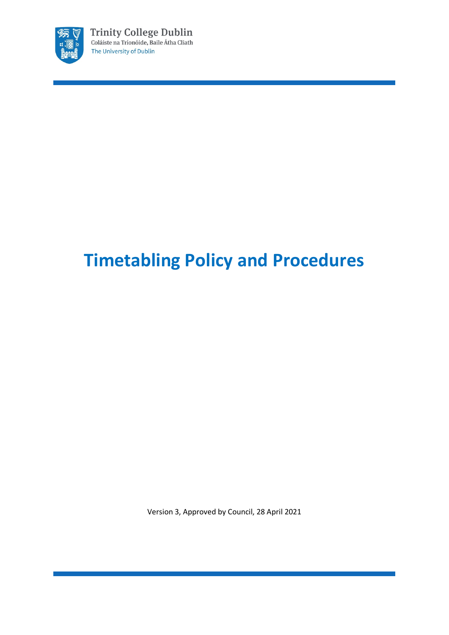

# **Timetabling Policy and Procedures**

Version 3, Approved by Council, 28 April 2021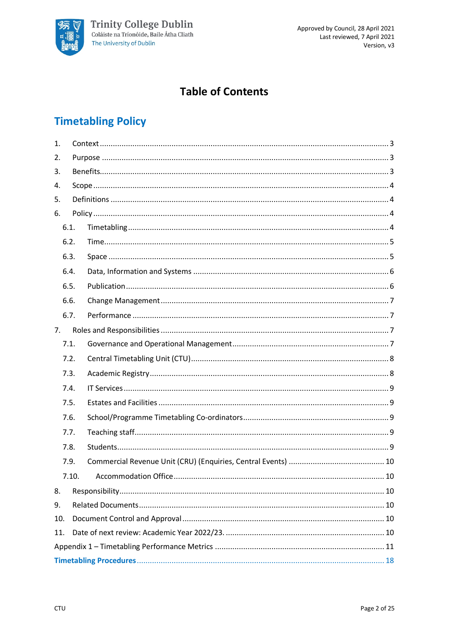

# **Table of Contents**

# **Timetabling Policy**

| 1.  |      |    |  |
|-----|------|----|--|
| 2.  |      |    |  |
| 3.  |      |    |  |
| 4.  |      |    |  |
| 5.  |      |    |  |
| 6.  |      |    |  |
|     | 6.1. |    |  |
|     | 6.2. |    |  |
|     | 6.3. |    |  |
|     | 6.4. |    |  |
|     | 6.5. |    |  |
|     | 6.6. |    |  |
|     | 6.7. |    |  |
| 7.  |      |    |  |
|     | 7.1. |    |  |
|     | 7.2. |    |  |
|     | 7.3. |    |  |
|     | 7.4. |    |  |
|     | 7.5. |    |  |
|     | 7.6. |    |  |
|     | 7.7. |    |  |
|     | 7.8. |    |  |
|     | 7.9. |    |  |
|     |      | 10 |  |
| 8.  |      |    |  |
| 9.  |      |    |  |
| 10. |      |    |  |
| 11. |      |    |  |
|     |      |    |  |
|     |      |    |  |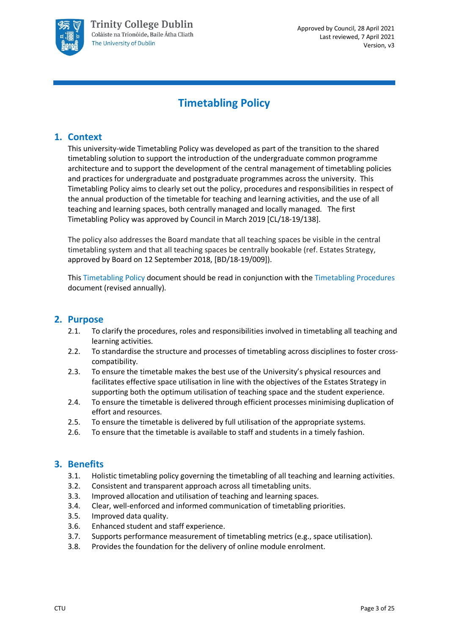

# **Timetabling Policy**

# <span id="page-2-0"></span>**1. Context**

This university-wide Timetabling Policy was developed as part of the transition to the shared timetabling solution to support the introduction of the undergraduate common programme architecture and to support the development of the central management of timetabling policies and practices for undergraduate and postgraduate programmes across the university. This Timetabling Policy aims to clearly set out the policy, procedures and responsibilities in respect of the annual production of the timetable for teaching and learning activities, and the use of all teaching and learning spaces, both centrally managed and locally managed. The first Timetabling Policy was approved by Council in March 2019 [CL/18-19/138].

The policy also addresses the Board mandate that all teaching spaces be visible in the central timetabling system and that all teaching spaces be centrally bookable (ref. Estates Strategy, approved by Board on 12 September 2018, [BD/18-19/009]).

This Timetabling Policy document should be read in conjunction with the Timetabling Procedures document (revised annually).

## <span id="page-2-1"></span>**2. Purpose**

- 2.1. To clarify the procedures, roles and responsibilities involved in timetabling all teaching and learning activities.
- 2.2. To standardise the structure and processes of timetabling across disciplines to foster crosscompatibility.
- 2.3. To ensure the timetable makes the best use of the University's physical resources and facilitates effective space utilisation in line with the objectives of the Estates Strategy in supporting both the optimum utilisation of teaching space and the student experience.
- 2.4. To ensure the timetable is delivered through efficient processes minimising duplication of effort and resources.
- 2.5. To ensure the timetable is delivered by full utilisation of the appropriate systems.
- 2.6. To ensure that the timetable is available to staff and students in a timely fashion.

#### <span id="page-2-2"></span>**3. Benefits**

- 3.1. Holistic timetabling policy governing the timetabling of all teaching and learning activities.
- 3.2. Consistent and transparent approach across all timetabling units.
- 3.3. Improved allocation and utilisation of teaching and learning spaces.
- 3.4. Clear, well-enforced and informed communication of timetabling priorities.
- 3.5. Improved data quality.
- 3.6. Enhanced student and staff experience.
- 3.7. Supports performance measurement of timetabling metrics (e.g., space utilisation).
- 3.8. Provides the foundation for the delivery of online module enrolment.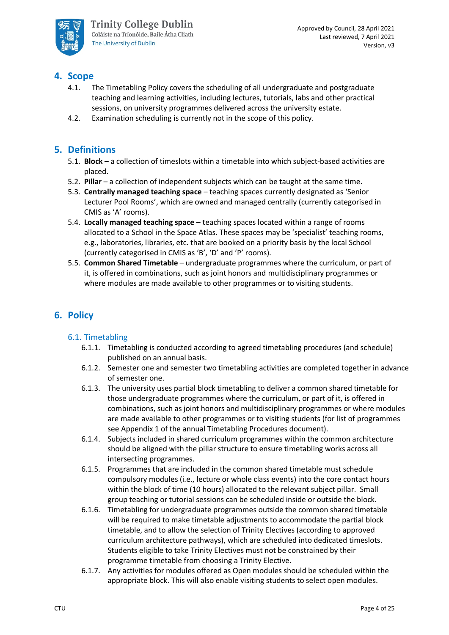

# <span id="page-3-0"></span>**4. Scope**

- 4.1. The Timetabling Policy covers the scheduling of all undergraduate and postgraduate teaching and learning activities, including lectures, tutorials, labs and other practical sessions, on university programmes delivered across the university estate.
- 4.2. Examination scheduling is currently not in the scope of this policy.

# <span id="page-3-1"></span>**5. Definitions**

- 5.1. **Block**  a collection of timeslots within a timetable into which subject-based activities are placed.
- 5.2. **Pillar** a collection of independent subjects which can be taught at the same time.
- 5.3. **Centrally managed teaching space**  teaching spaces currently designated as 'Senior Lecturer Pool Rooms', which are owned and managed centrally (currently categorised in CMIS as 'A' rooms).
- 5.4. **Locally managed teaching space**  teaching spaces located within a range of rooms allocated to a School in the Space Atlas. These spaces may be 'specialist' teaching rooms, e.g., laboratories, libraries, etc. that are booked on a priority basis by the local School (currently categorised in CMIS as 'B', 'D' and 'P' rooms).
- 5.5. **Common Shared Timetable**  undergraduate programmes where the curriculum, or part of it, is offered in combinations, such as joint honors and multidisciplinary programmes or where modules are made available to other programmes or to visiting students.

# <span id="page-3-2"></span>**6. Policy**

#### <span id="page-3-3"></span>6.1. Timetabling

- 6.1.1. Timetabling is conducted according to agreed timetabling procedures (and schedule) published on an annual basis.
- 6.1.2. Semester one and semester two timetabling activities are completed together in advance of semester one.
- 6.1.3. The university uses partial block timetabling to deliver a common shared timetable for those undergraduate programmes where the curriculum, or part of it, is offered in combinations, such as joint honors and multidisciplinary programmes or where modules are made available to other programmes or to visiting students (for list of programmes see Appendix 1 of the annual Timetabling Procedures document).
- 6.1.4. Subjects included in shared curriculum programmes within the common architecture should be aligned with the pillar structure to ensure timetabling works across all intersecting programmes.
- 6.1.5. Programmes that are included in the common shared timetable must schedule compulsory modules (i.e., lecture or whole class events) into the core contact hours within the block of time (10 hours) allocated to the relevant subject pillar. Small group teaching or tutorial sessions can be scheduled inside or outside the block.
- 6.1.6. Timetabling for undergraduate programmes outside the common shared timetable will be required to make timetable adjustments to accommodate the partial block timetable, and to allow the selection of Trinity Electives (according to approved curriculum architecture pathways), which are scheduled into dedicated timeslots. Students eligible to take Trinity Electives must not be constrained by their programme timetable from choosing a Trinity Elective.
- 6.1.7. Any activities for modules offered as Open modules should be scheduled within the appropriate block. This will also enable visiting students to select open modules.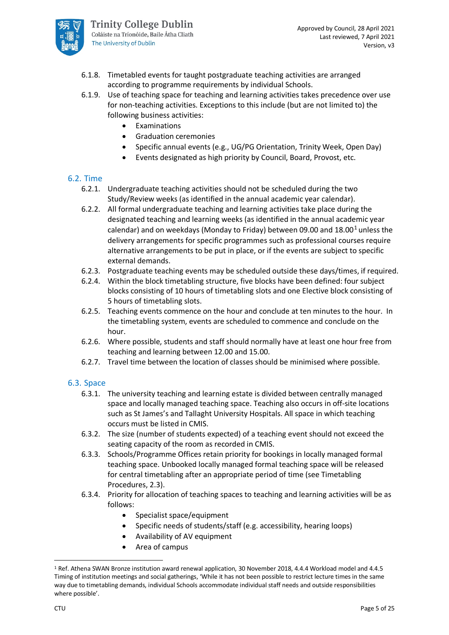

- 6.1.8. Timetabled events for taught postgraduate teaching activities are arranged according to programme requirements by individual Schools.
- 6.1.9. Use of teaching space for teaching and learning activities takes precedence over use for non-teaching activities. Exceptions to this include (but are not limited to) the following business activities:
	- **Examinations**
	- Graduation ceremonies
	- Specific annual events (e.g., UG/PG Orientation, Trinity Week, Open Day)
	- Events designated as high priority by Council, Board, Provost, etc.

#### <span id="page-4-0"></span>6.2. Time

- 6.2.1. Undergraduate teaching activities should not be scheduled during the two Study/Review weeks (as identified in the annual academic year calendar).
- 6.2.2. All formal undergraduate teaching and learning activities take place during the designated teaching and learning weeks (as identified in the annual academic year calendar) and on weekdays (Monday to Friday) between 09.00 and  $18.00<sup>1</sup>$  $18.00<sup>1</sup>$  unless the delivery arrangements for specific programmes such as professional courses require alternative arrangements to be put in place, or if the events are subject to specific external demands.
- 6.2.3. Postgraduate teaching events may be scheduled outside these days/times, if required.
- 6.2.4. Within the block timetabling structure, five blocks have been defined: four subject blocks consisting of 10 hours of timetabling slots and one Elective block consisting of 5 hours of timetabling slots.
- 6.2.5. Teaching events commence on the hour and conclude at ten minutes to the hour. In the timetabling system, events are scheduled to commence and conclude on the hour.
- 6.2.6. Where possible, students and staff should normally have at least one hour free from teaching and learning between 12.00 and 15.00.
- 6.2.7. Travel time between the location of classes should be minimised where possible.

#### <span id="page-4-1"></span>6.3. Space

- 6.3.1. The university teaching and learning estate is divided between centrally managed space and locally managed teaching space. Teaching also occurs in off-site locations such as St James's and Tallaght University Hospitals. All space in which teaching occurs must be listed in CMIS.
- 6.3.2. The size (number of students expected) of a teaching event should not exceed the seating capacity of the room as recorded in CMIS.
- 6.3.3. Schools/Programme Offices retain priority for bookings in locally managed formal teaching space. Unbooked locally managed formal teaching space will be released for central timetabling after an appropriate period of time (see Timetabling Procedures, 2.3).
- 6.3.4. Priority for allocation of teaching spaces to teaching and learning activities will be as follows:
	- Specialist space/equipment
	- Specific needs of students/staff (e.g. accessibility, hearing loops)
	- Availability of AV equipment
	- Area of campus

<span id="page-4-2"></span><sup>1</sup> Ref. Athena SWAN Bronze institution award renewal application, 30 November 2018, 4.4.4 Workload model and 4.4.5 Timing of institution meetings and social gatherings, 'While it has not been possible to restrict lecture times in the same way due to timetabling demands, individual Schools accommodate individual staff needs and outside responsibilities where possible'.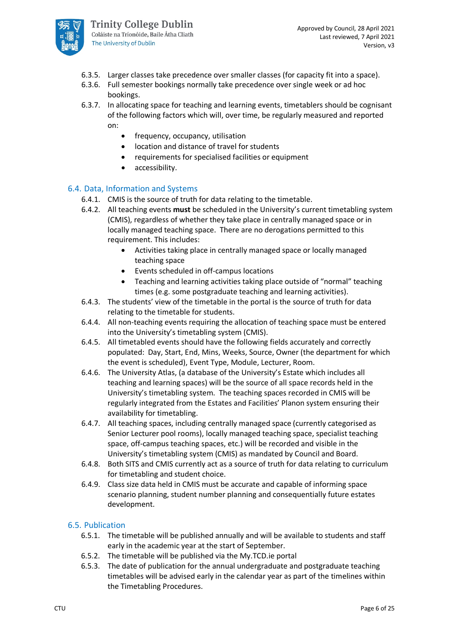

- 6.3.5. Larger classes take precedence over smaller classes (for capacity fit into a space).
- 6.3.6. Full semester bookings normally take precedence over single week or ad hoc bookings.
- 6.3.7. In allocating space for teaching and learning events, timetablers should be cognisant of the following factors which will, over time, be regularly measured and reported on:
	- frequency, occupancy, utilisation
	- location and distance of travel for students
	- requirements for specialised facilities or equipment
	- accessibility.

#### <span id="page-5-0"></span>6.4. Data, Information and Systems

- 6.4.1. CMIS is the source of truth for data relating to the timetable.
- 6.4.2. All teaching events **must** be scheduled in the University's current timetabling system (CMIS), regardless of whether they take place in centrally managed space or in locally managed teaching space. There are no derogations permitted to this requirement. This includes:
	- Activities taking place in centrally managed space or locally managed teaching space
	- Events scheduled in off-campus locations
	- Teaching and learning activities taking place outside of "normal" teaching times (e.g. some postgraduate teaching and learning activities).
- 6.4.3. The students' view of the timetable in the portal is the source of truth for data relating to the timetable for students.
- 6.4.4. All non-teaching events requiring the allocation of teaching space must be entered into the University's timetabling system (CMIS).
- 6.4.5. All timetabled events should have the following fields accurately and correctly populated: Day, Start, End, Mins, Weeks, Source, Owner (the department for which the event is scheduled), Event Type, Module, Lecturer, Room.
- 6.4.6. The University Atlas, (a database of the University's Estate which includes all teaching and learning spaces) will be the source of all space records held in the University's timetabling system. The teaching spaces recorded in CMIS will be regularly integrated from the Estates and Facilities' Planon system ensuring their availability for timetabling.
- 6.4.7. All teaching spaces, including centrally managed space (currently categorised as Senior Lecturer pool rooms), locally managed teaching space, specialist teaching space, off-campus teaching spaces, etc.) will be recorded and visible in the University's timetabling system (CMIS) as mandated by Council and Board.
- 6.4.8. Both SITS and CMIS currently act as a source of truth for data relating to curriculum for timetabling and student choice.
- 6.4.9. Class size data held in CMIS must be accurate and capable of informing space scenario planning, student number planning and consequentially future estates development.

#### <span id="page-5-1"></span>6.5. Publication

- 6.5.1. The timetable will be published annually and will be available to students and staff early in the academic year at the start of September.
- 6.5.2. The timetable will be published via the My.TCD.ie portal
- 6.5.3. The date of publication for the annual undergraduate and postgraduate teaching timetables will be advised early in the calendar year as part of the timelines within the Timetabling Procedures.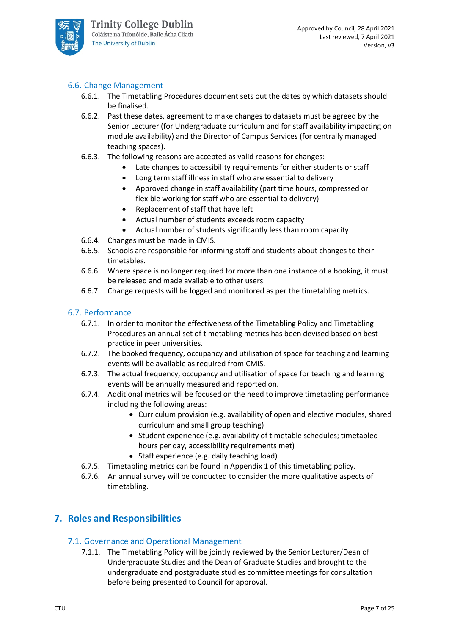

#### <span id="page-6-0"></span>6.6. Change Management

- 6.6.1. The Timetabling Procedures document sets out the dates by which datasets should be finalised.
- 6.6.2. Past these dates, agreement to make changes to datasets must be agreed by the Senior Lecturer (for Undergraduate curriculum and for staff availability impacting on module availability) and the Director of Campus Services (for centrally managed teaching spaces).
- 6.6.3. The following reasons are accepted as valid reasons for changes:
	- Late changes to accessibility requirements for either students or staff
	- Long term staff illness in staff who are essential to delivery
	- Approved change in staff availability (part time hours, compressed or flexible working for staff who are essential to delivery)
	- Replacement of staff that have left
	- Actual number of students exceeds room capacity
	- Actual number of students significantly less than room capacity
- 6.6.4. Changes must be made in CMIS.
- 6.6.5. Schools are responsible for informing staff and students about changes to their timetables.
- 6.6.6. Where space is no longer required for more than one instance of a booking, it must be released and made available to other users.
- 6.6.7. Change requests will be logged and monitored as per the timetabling metrics.

#### <span id="page-6-1"></span>6.7. Performance

- 6.7.1. In order to monitor the effectiveness of the Timetabling Policy and Timetabling Procedures an annual set of timetabling metrics has been devised based on best practice in peer universities.
- 6.7.2. The booked frequency, occupancy and utilisation of space for teaching and learning events will be available as required from CMIS.
- 6.7.3. The actual frequency, occupancy and utilisation of space for teaching and learning events will be annually measured and reported on.
- 6.7.4. Additional metrics will be focused on the need to improve timetabling performance including the following areas:
	- Curriculum provision (e.g. availability of open and elective modules, shared curriculum and small group teaching)
	- Student experience (e.g. availability of timetable schedules; timetabled hours per day, accessibility requirements met)
	- Staff experience (e.g. daily teaching load)
- 6.7.5. Timetabling metrics can be found in Appendix 1 of this timetabling policy.
- 6.7.6. An annual survey will be conducted to consider the more qualitative aspects of timetabling.

## <span id="page-6-2"></span>**7. Roles and Responsibilities**

#### <span id="page-6-3"></span>7.1. Governance and Operational Management

7.1.1. The Timetabling Policy will be jointly reviewed by the Senior Lecturer/Dean of Undergraduate Studies and the Dean of Graduate Studies and brought to the undergraduate and postgraduate studies committee meetings for consultation before being presented to Council for approval.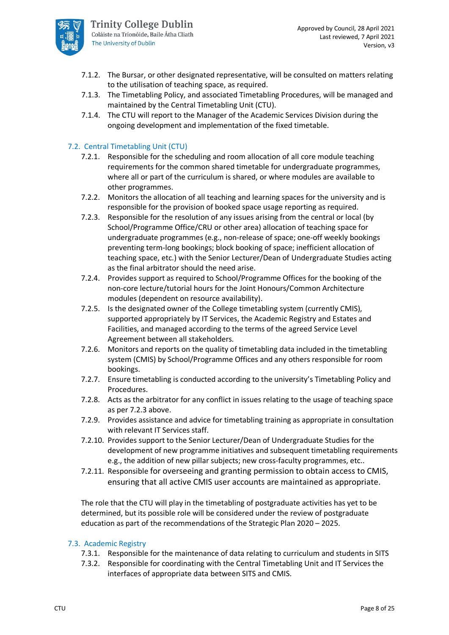

- 7.1.2. The Bursar, or other designated representative, will be consulted on matters relating to the utilisation of teaching space, as required.
- 7.1.3. The Timetabling Policy, and associated Timetabling Procedures, will be managed and maintained by the Central Timetabling Unit (CTU).
- 7.1.4. The CTU will report to the Manager of the Academic Services Division during the ongoing development and implementation of the fixed timetable.

#### <span id="page-7-0"></span>7.2. Central Timetabling Unit (CTU)

- 7.2.1. Responsible for the scheduling and room allocation of all core module teaching requirements for the common shared timetable for undergraduate programmes, where all or part of the curriculum is shared, or where modules are available to other programmes.
- 7.2.2. Monitors the allocation of all teaching and learning spaces for the university and is responsible for the provision of booked space usage reporting as required.
- 7.2.3. Responsible for the resolution of any issues arising from the central or local (by School/Programme Office/CRU or other area) allocation of teaching space for undergraduate programmes (e.g., non-release of space; one-off weekly bookings preventing term-long bookings; block booking of space; inefficient allocation of teaching space, etc.) with the Senior Lecturer/Dean of Undergraduate Studies acting as the final arbitrator should the need arise.
- 7.2.4. Provides support as required to School/Programme Offices for the booking of the non-core lecture/tutorial hours for the Joint Honours/Common Architecture modules (dependent on resource availability).
- 7.2.5. Is the designated owner of the College timetabling system (currently CMIS), supported appropriately by IT Services, the Academic Registry and Estates and Facilities, and managed according to the terms of the agreed Service Level Agreement between all stakeholders.
- 7.2.6. Monitors and reports on the quality of timetabling data included in the timetabling system (CMIS) by School/Programme Offices and any others responsible for room bookings.
- 7.2.7. Ensure timetabling is conducted according to the university's Timetabling Policy and Procedures.
- 7.2.8. Acts as the arbitrator for any conflict in issues relating to the usage of teaching space as per 7.2.3 above.
- 7.2.9. Provides assistance and advice for timetabling training as appropriate in consultation with relevant IT Services staff.
- 7.2.10. Provides support to the Senior Lecturer/Dean of Undergraduate Studies for the development of new programme initiatives and subsequent timetabling requirements e.g., the addition of new pillar subjects; new cross-faculty programmes, etc..
- 7.2.11. Responsible for overseeing and granting permission to obtain access to CMIS, ensuring that all active CMIS user accounts are maintained as appropriate.

The role that the CTU will play in the timetabling of postgraduate activities has yet to be determined, but its possible role will be considered under the review of postgraduate education as part of the recommendations of the Strategic Plan 2020 – 2025.

#### <span id="page-7-1"></span>7.3. Academic Registry

- 7.3.1. Responsible for the maintenance of data relating to curriculum and students in SITS
- 7.3.2. Responsible for coordinating with the Central Timetabling Unit and IT Services the interfaces of appropriate data between SITS and CMIS.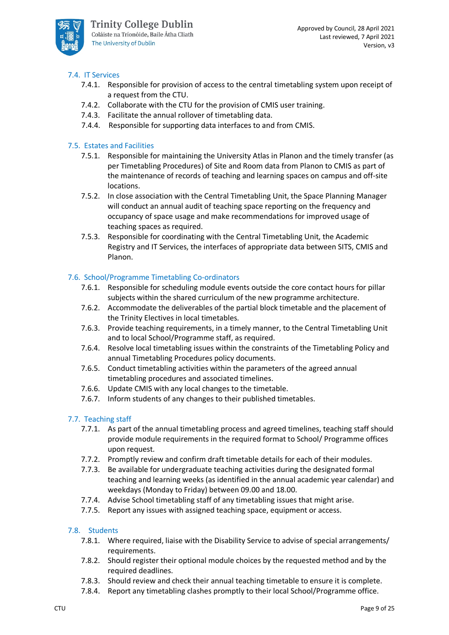

#### <span id="page-8-0"></span>7.4. IT Services

- 7.4.1. Responsible for provision of access to the central timetabling system upon receipt of a request from the CTU.
- 7.4.2. Collaborate with the CTU for the provision of CMIS user training.
- 7.4.3. Facilitate the annual rollover of timetabling data.
- 7.4.4. Responsible for supporting data interfaces to and from CMIS.

#### <span id="page-8-1"></span>7.5. Estates and Facilities

- 7.5.1. Responsible for maintaining the University Atlas in Planon and the timely transfer (as per Timetabling Procedures) of Site and Room data from Planon to CMIS as part of the maintenance of records of teaching and learning spaces on campus and off-site locations.
- 7.5.2. In close association with the Central Timetabling Unit, the Space Planning Manager will conduct an annual audit of teaching space reporting on the frequency and occupancy of space usage and make recommendations for improved usage of teaching spaces as required.
- 7.5.3. Responsible for coordinating with the Central Timetabling Unit, the Academic Registry and IT Services, the interfaces of appropriate data between SITS, CMIS and Planon.

#### <span id="page-8-2"></span>7.6. School/Programme Timetabling Co-ordinators

- 7.6.1. Responsible for scheduling module events outside the core contact hours for pillar subjects within the shared curriculum of the new programme architecture.
- 7.6.2. Accommodate the deliverables of the partial block timetable and the placement of the Trinity Electives in local timetables.
- 7.6.3. Provide teaching requirements, in a timely manner, to the Central Timetabling Unit and to local School/Programme staff, as required.
- 7.6.4. Resolve local timetabling issues within the constraints of the Timetabling Policy and annual Timetabling Procedures policy documents.
- 7.6.5. Conduct timetabling activities within the parameters of the agreed annual timetabling procedures and associated timelines.
- 7.6.6. Update CMIS with any local changes to the timetable.
- 7.6.7. Inform students of any changes to their published timetables.

#### <span id="page-8-3"></span>7.7. Teaching staff

- 7.7.1. As part of the annual timetabling process and agreed timelines, teaching staff should provide module requirements in the required format to School/ Programme offices upon request.
- 7.7.2. Promptly review and confirm draft timetable details for each of their modules.
- 7.7.3. Be available for undergraduate teaching activities during the designated formal teaching and learning weeks (as identified in the annual academic year calendar) and weekdays (Monday to Friday) between 09.00 and 18.00.
- 7.7.4. Advise School timetabling staff of any timetabling issues that might arise.
- 7.7.5. Report any issues with assigned teaching space, equipment or access.

#### <span id="page-8-4"></span>7.8. Students

- 7.8.1. Where required, liaise with the Disability Service to advise of special arrangements/ requirements.
- 7.8.2. Should register their optional module choices by the requested method and by the required deadlines.
- 7.8.3. Should review and check their annual teaching timetable to ensure it is complete.
- 7.8.4. Report any timetabling clashes promptly to their local School/Programme office.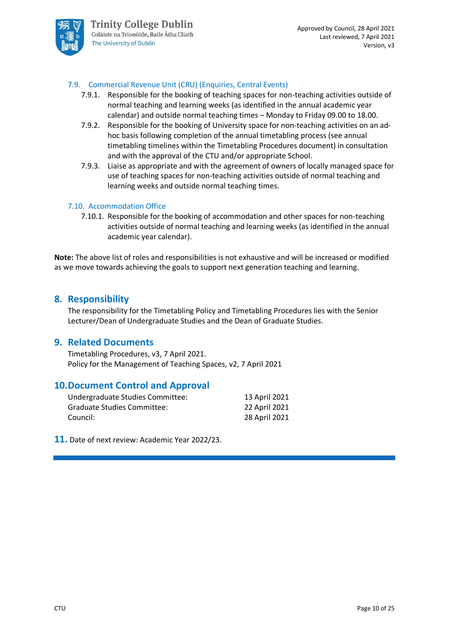

#### <span id="page-9-0"></span>7.9. Commercial Revenue Unit (CRU) (Enquiries, Central Events)

- 7.9.1. Responsible for the booking of teaching spaces for non-teaching activities outside of normal teaching and learning weeks (as identified in the annual academic year calendar) and outside normal teaching times – Monday to Friday 09.00 to 18.00.
- 7.9.2. Responsible for the booking of University space for non-teaching activities on an adhoc basis following completion of the annual timetabling process (see annual timetabling timelines within the Timetabling Procedures document) in consultation and with the approval of the CTU and/or appropriate School.
- 7.9.3. Liaise as appropriate and with the agreement of owners of locally managed space for use of teaching spaces for non-teaching activities outside of normal teaching and learning weeks and outside normal teaching times.

#### <span id="page-9-1"></span>7.10. Accommodation Office

7.10.1. Responsible for the booking of accommodation and other spaces for non-teaching activities outside of normal teaching and learning weeks (as identified in the annual academic year calendar).

**Note:** The above list of roles and responsibilities is not exhaustive and will be increased or modified as we move towards achieving the goals to support next generation teaching and learning.

#### <span id="page-9-2"></span>**8. Responsibility**

The responsibility for the Timetabling Policy and Timetabling Procedures lies with the Senior Lecturer/Dean of Undergraduate Studies and the Dean of Graduate Studies.

#### <span id="page-9-3"></span>**9. Related Documents**

Timetabling Procedures, v3, 7 April 2021. Policy for the Management of Teaching Spaces, v2, 7 April 2021

#### <span id="page-9-4"></span>**10.Document Control and Approval**

| Undergraduate Studies Committee: | 13 April 2021 |
|----------------------------------|---------------|
| Graduate Studies Committee:      | 22 April 2021 |
| Council:                         | 28 April 2021 |

<span id="page-9-5"></span>**11.** Date of next review: Academic Year 2022/23.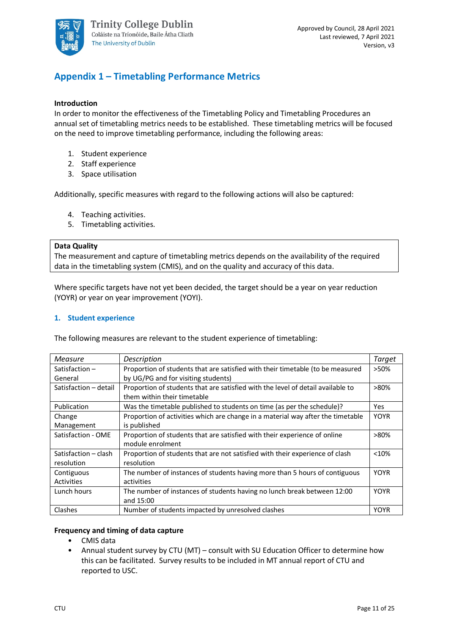

# <span id="page-10-0"></span>**Appendix 1 – Timetabling Performance Metrics**

#### **Introduction**

In order to monitor the effectiveness of the Timetabling Policy and Timetabling Procedures an annual set of timetabling metrics needs to be established. These timetabling metrics will be focused on the need to improve timetabling performance, including the following areas:

- 1. Student experience
- 2. Staff experience
- 3. Space utilisation

Additionally, specific measures with regard to the following actions will also be captured:

- 4. Teaching activities.
- 5. Timetabling activities.

#### **Data Quality**

The measurement and capture of timetabling metrics depends on the availability of the required data in the timetabling system (CMIS), and on the quality and accuracy of this data.

Where specific targets have not yet been decided, the target should be a year on year reduction (YOYR) or year on year improvement (YOYI).

#### **1. Student experience**

The following measures are relevant to the student experience of timetabling:

| Measure               | Description                                                                     | Target      |
|-----------------------|---------------------------------------------------------------------------------|-------------|
| Satisfaction $-$      | Proportion of students that are satisfied with their timetable (to be measured  | >50%        |
| General               | by UG/PG and for visiting students)                                             |             |
| Satisfaction - detail | Proportion of students that are satisfied with the level of detail available to | $>80\%$     |
|                       | them within their timetable                                                     |             |
| Publication           | Was the timetable published to students on time (as per the schedule)?          | Yes         |
| Change                | Proportion of activities which are change in a material way after the timetable | <b>YOYR</b> |
| Management            | is published                                                                    |             |
| Satisfaction - OME    | Proportion of students that are satisfied with their experience of online       | $>80\%$     |
|                       | module enrolment                                                                |             |
| Satisfaction - clash  | Proportion of students that are not satisfied with their experience of clash    | < 10%       |
| resolution            | resolution                                                                      |             |
| Contiguous            | The number of instances of students having more than 5 hours of contiguous      | <b>YOYR</b> |
| <b>Activities</b>     | activities                                                                      |             |
| Lunch hours           | The number of instances of students having no lunch break between 12:00         | <b>YOYR</b> |
|                       | and 15:00                                                                       |             |
| Clashes               | Number of students impacted by unresolved clashes                               | <b>YOYR</b> |

#### **Frequency and timing of data capture**

- CMIS data
- Annual student survey by CTU (MT) consult with SU Education Officer to determine how this can be facilitated. Survey results to be included in MT annual report of CTU and reported to USC.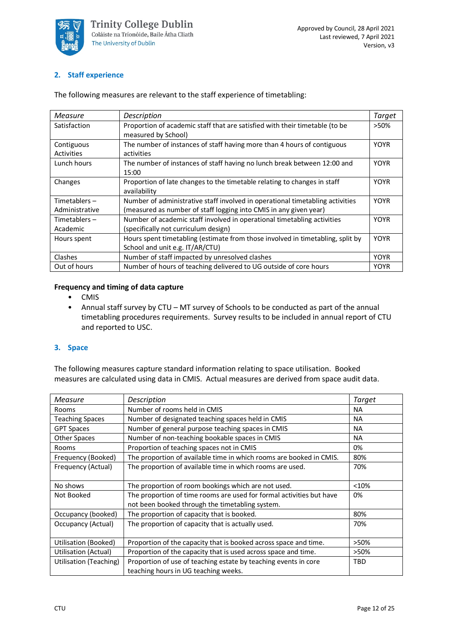

#### **2. Staff experience**

| Measure           | Description                                                                    | Target      |
|-------------------|--------------------------------------------------------------------------------|-------------|
| Satisfaction      | Proportion of academic staff that are satisfied with their timetable (to be    | >50%        |
|                   | measured by School)                                                            |             |
| Contiguous        | The number of instances of staff having more than 4 hours of contiguous        | <b>YOYR</b> |
| <b>Activities</b> | activities                                                                     |             |
| Lunch hours       | The number of instances of staff having no lunch break between 12:00 and       | <b>YOYR</b> |
|                   | 15:00                                                                          |             |
| Changes           | Proportion of late changes to the timetable relating to changes in staff       | <b>YOYR</b> |
|                   | availability                                                                   |             |
| Timetablers $-$   | Number of administrative staff involved in operational timetabling activities  | <b>YOYR</b> |
| Administrative    | (measured as number of staff logging into CMIS in any given year)              |             |
| Timetablers $-$   | Number of academic staff involved in operational timetabling activities        | <b>YOYR</b> |
| Academic          | (specifically not curriculum design)                                           |             |
| Hours spent       | Hours spent timetabling (estimate from those involved in timetabling, split by | <b>YOYR</b> |
|                   | School and unit e.g. IT/AR/CTU)                                                |             |
| Clashes           | Number of staff impacted by unresolved clashes                                 | <b>YOYR</b> |
| Out of hours      | Number of hours of teaching delivered to UG outside of core hours              | <b>YOYR</b> |

The following measures are relevant to the staff experience of timetabling:

#### **Frequency and timing of data capture**

- CMIS
- Annual staff survey by CTU MT survey of Schools to be conducted as part of the annual timetabling procedures requirements. Survey results to be included in annual report of CTU and reported to USC.

#### **3. Space**

The following measures capture standard information relating to space utilisation. Booked measures are calculated using data in CMIS. Actual measures are derived from space audit data.

| Measure                | Description                                                                                                             | Target    |
|------------------------|-------------------------------------------------------------------------------------------------------------------------|-----------|
| <b>Rooms</b>           | Number of rooms held in CMIS                                                                                            | <b>NA</b> |
| <b>Teaching Spaces</b> | Number of designated teaching spaces held in CMIS                                                                       | <b>NA</b> |
| <b>GPT Spaces</b>      | Number of general purpose teaching spaces in CMIS                                                                       | <b>NA</b> |
| Other Spaces           | Number of non-teaching bookable spaces in CMIS                                                                          | <b>NA</b> |
| Rooms                  | Proportion of teaching spaces not in CMIS                                                                               | 0%        |
| Frequency (Booked)     | The proportion of available time in which rooms are booked in CMIS.                                                     | 80%       |
| Frequency (Actual)     | The proportion of available time in which rooms are used.                                                               | 70%       |
| No shows               | The proportion of room bookings which are not used.                                                                     | < 10%     |
| Not Booked             | The proportion of time rooms are used for formal activities but have<br>not been booked through the timetabling system. | 0%        |
| Occupancy (booked)     | The proportion of capacity that is booked.                                                                              | 80%       |
| Occupancy (Actual)     | The proportion of capacity that is actually used.                                                                       | 70%       |
| Utilisation (Booked)   | Proportion of the capacity that is booked across space and time.                                                        | >50%      |
| Utilisation (Actual)   | Proportion of the capacity that is used across space and time.                                                          | >50%      |
| Utilisation (Teaching) | Proportion of use of teaching estate by teaching events in core<br>teaching hours in UG teaching weeks.                 | TBD       |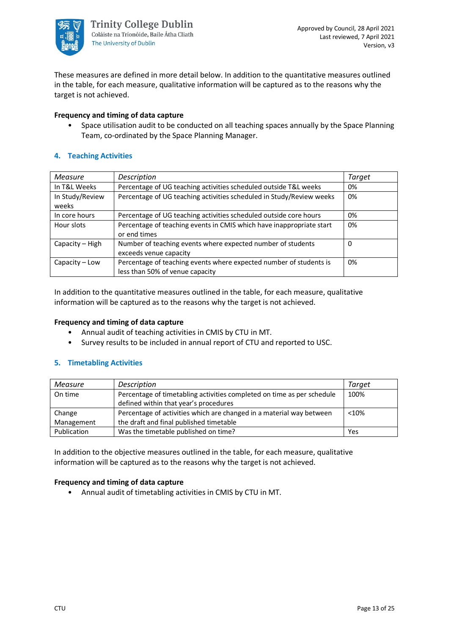

These measures are defined in more detail below. In addition to the quantitative measures outlined in the table, for each measure, qualitative information will be captured as to the reasons why the target is not achieved.

#### **Frequency and timing of data capture**

• Space utilisation audit to be conducted on all teaching spaces annually by the Space Planning Team, co-ordinated by the Space Planning Manager.

#### **4. Teaching Activities**

| <b>Measure</b>   | Description                                                          | <b>Target</b> |
|------------------|----------------------------------------------------------------------|---------------|
| In T&L Weeks     | Percentage of UG teaching activities scheduled outside T&L weeks     | 0%            |
| In Study/Review  | Percentage of UG teaching activities scheduled in Study/Review weeks | 0%            |
| weeks            |                                                                      |               |
| In core hours    | Percentage of UG teaching activities scheduled outside core hours    | 0%            |
| Hour slots       | Percentage of teaching events in CMIS which have inappropriate start | 0%            |
|                  | or end times                                                         |               |
| Capacity – High  | Number of teaching events where expected number of students          | 0             |
|                  | exceeds venue capacity                                               |               |
| $Capacity - Low$ | Percentage of teaching events where expected number of students is   | 0%            |
|                  | less than 50% of venue capacity                                      |               |

In addition to the quantitative measures outlined in the table, for each measure, qualitative information will be captured as to the reasons why the target is not achieved.

#### **Frequency and timing of data capture**

- Annual audit of teaching activities in CMIS by CTU in MT.
- Survey results to be included in annual report of CTU and reported to USC.

#### **5. Timetabling Activities**

| Measure     | Description                                                            | Target |
|-------------|------------------------------------------------------------------------|--------|
| On time     | Percentage of timetabling activities completed on time as per schedule | 100%   |
|             | defined within that year's procedures                                  |        |
| Change      | Percentage of activities which are changed in a material way between   | < 10%  |
| Management  | the draft and final published timetable                                |        |
| Publication | Was the timetable published on time?                                   | Yes    |

In addition to the objective measures outlined in the table, for each measure, qualitative information will be captured as to the reasons why the target is not achieved.

#### **Frequency and timing of data capture**

• Annual audit of timetabling activities in CMIS by CTU in MT.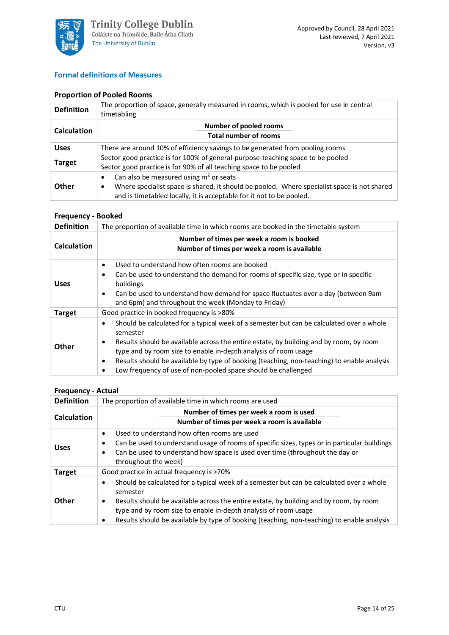

#### **Formal definitions of Measures**

#### **Proportion of Pooled Rooms**

| <b>Definition</b>  | The proportion of space, generally measured in rooms, which is pooled for use in central<br>timetabling |
|--------------------|---------------------------------------------------------------------------------------------------------|
|                    | Number of pooled rooms                                                                                  |
| <b>Calculation</b> | <b>Total number of rooms</b>                                                                            |
| <b>Uses</b>        | There are around 10% of efficiency savings to be generated from pooling rooms                           |
| <b>Target</b>      | Sector good practice is for 100% of general-purpose-teaching space to be pooled                         |
|                    | Sector good practice is for 90% of all teaching space to be pooled                                      |
|                    | Can also be measured using $m2$ or seats<br>$\bullet$                                                   |
| Other              | Where specialist space is shared, it should be pooled. Where specialist space is not shared<br>٠        |
|                    | and is timetabled locally, it is acceptable for it not to be pooled.                                    |

#### **Frequency - Booked**

| <b>Definition</b>  | The proportion of available time in which rooms are booked in the timetable system                                                                                                                                                                                                                                                                                                                                                                                      |  |
|--------------------|-------------------------------------------------------------------------------------------------------------------------------------------------------------------------------------------------------------------------------------------------------------------------------------------------------------------------------------------------------------------------------------------------------------------------------------------------------------------------|--|
| <b>Calculation</b> | Number of times per week a room is booked<br>Number of times per week a room is available                                                                                                                                                                                                                                                                                                                                                                               |  |
| <b>Uses</b>        | Used to understand how often rooms are booked<br>$\bullet$<br>Can be used to understand the demand for rooms of specific size, type or in specific<br>$\bullet$<br>buildings<br>Can be used to understand how demand for space fluctuates over a day (between 9am<br>$\bullet$<br>and 6pm) and throughout the week (Monday to Friday)                                                                                                                                   |  |
| <b>Target</b>      | Good practice in booked frequency is >80%                                                                                                                                                                                                                                                                                                                                                                                                                               |  |
| Other              | Should be calculated for a typical week of a semester but can be calculated over a whole<br>$\bullet$<br>semester<br>Results should be available across the entire estate, by building and by room, by room<br>$\bullet$<br>type and by room size to enable in-depth analysis of room usage<br>Results should be available by type of booking (teaching, non-teaching) to enable analysis<br>$\bullet$<br>Low frequency of use of non-pooled space should be challenged |  |

#### **Frequency - Actual**

| <b>Definition</b>  | The proportion of available time in which rooms are used                                                                                                                                                                                                                                                                                                                               |  |
|--------------------|----------------------------------------------------------------------------------------------------------------------------------------------------------------------------------------------------------------------------------------------------------------------------------------------------------------------------------------------------------------------------------------|--|
| <b>Calculation</b> | Number of times per week a room is used<br>Number of times per week a room is available                                                                                                                                                                                                                                                                                                |  |
| <b>Uses</b>        | Used to understand how often rooms are used<br>$\bullet$<br>Can be used to understand usage of rooms of specific sizes, types or in particular buildings<br>٠<br>Can be used to understand how space is used over time (throughout the day or<br>٠<br>throughout the week)                                                                                                             |  |
| <b>Target</b>      | Good practice in actual frequency is >70%                                                                                                                                                                                                                                                                                                                                              |  |
| Other              | Should be calculated for a typical week of a semester but can be calculated over a whole<br>$\bullet$<br>semester<br>Results should be available across the entire estate, by building and by room, by room<br>٠<br>type and by room size to enable in-depth analysis of room usage<br>Results should be available by type of booking (teaching, non-teaching) to enable analysis<br>٠ |  |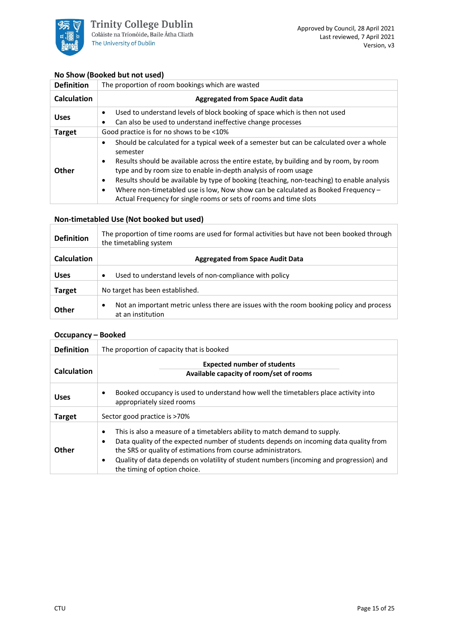

#### **No Show (Booked but not used)**

| <b>Definition</b>  | The proportion of room bookings which are wasted                                                                                                                                                                                                                                                                                                                                                                                                                                                                                                                |  |
|--------------------|-----------------------------------------------------------------------------------------------------------------------------------------------------------------------------------------------------------------------------------------------------------------------------------------------------------------------------------------------------------------------------------------------------------------------------------------------------------------------------------------------------------------------------------------------------------------|--|
| <b>Calculation</b> | <b>Aggregated from Space Audit data</b>                                                                                                                                                                                                                                                                                                                                                                                                                                                                                                                         |  |
| <b>Uses</b>        | Used to understand levels of block booking of space which is then not used<br>٠<br>Can also be used to understand ineffective change processes<br>٠                                                                                                                                                                                                                                                                                                                                                                                                             |  |
| <b>Target</b>      | Good practice is for no shows to be <10%                                                                                                                                                                                                                                                                                                                                                                                                                                                                                                                        |  |
| Other              | Should be calculated for a typical week of a semester but can be calculated over a whole<br>$\bullet$<br>semester<br>Results should be available across the entire estate, by building and by room, by room<br>$\bullet$<br>type and by room size to enable in-depth analysis of room usage<br>Results should be available by type of booking (teaching, non-teaching) to enable analysis<br>٠<br>Where non-timetabled use is low, Now show can be calculated as Booked Frequency $-$<br>٠<br>Actual Frequency for single rooms or sets of rooms and time slots |  |

#### **Non-timetabled Use (Not booked but used)**

| <b>Definition</b>  | The proportion of time rooms are used for formal activities but have not been booked through<br>the timetabling system     |
|--------------------|----------------------------------------------------------------------------------------------------------------------------|
| <b>Calculation</b> | <b>Aggregated from Space Audit Data</b>                                                                                    |
| <b>Uses</b>        | Used to understand levels of non-compliance with policy<br>$\bullet$                                                       |
| <b>Target</b>      | No target has been established.                                                                                            |
| <b>Other</b>       | Not an important metric unless there are issues with the room booking policy and process<br>$\bullet$<br>at an institution |

#### **Occupancy – Booked**

| <b>Definition</b>  | The proportion of capacity that is booked                                                                                                                                                                                                                                                                                                                                      |  |  |
|--------------------|--------------------------------------------------------------------------------------------------------------------------------------------------------------------------------------------------------------------------------------------------------------------------------------------------------------------------------------------------------------------------------|--|--|
| <b>Calculation</b> | <b>Expected number of students</b><br>Available capacity of room/set of rooms                                                                                                                                                                                                                                                                                                  |  |  |
| <b>Uses</b>        | Booked occupancy is used to understand how well the timetablers place activity into<br>٠<br>appropriately sized rooms                                                                                                                                                                                                                                                          |  |  |
| <b>Target</b>      | Sector good practice is >70%                                                                                                                                                                                                                                                                                                                                                   |  |  |
| Other              | This is also a measure of a timetablers ability to match demand to supply.<br>٠<br>Data quality of the expected number of students depends on incoming data quality from<br>٠<br>the SRS or quality of estimations from course administrators.<br>Quality of data depends on volatility of student numbers (incoming and progression) and<br>٠<br>the timing of option choice. |  |  |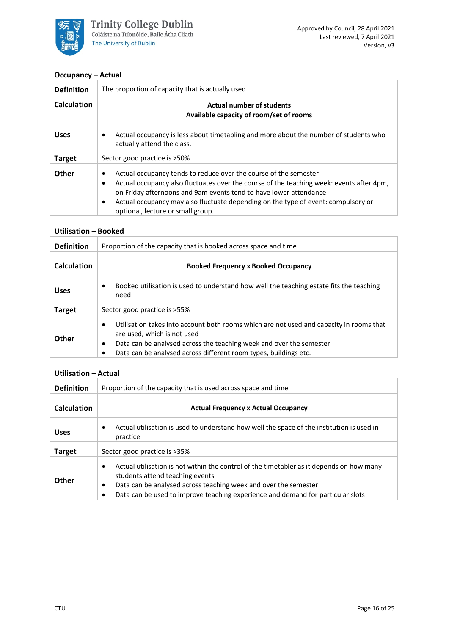

#### **Occupancy – Actual**

| <b>Definition</b>  | The proportion of capacity that is actually used                                                                                                                                                                                                                                                                                                                                           |  |  |  |
|--------------------|--------------------------------------------------------------------------------------------------------------------------------------------------------------------------------------------------------------------------------------------------------------------------------------------------------------------------------------------------------------------------------------------|--|--|--|
| <b>Calculation</b> | <b>Actual number of students</b>                                                                                                                                                                                                                                                                                                                                                           |  |  |  |
|                    | Available capacity of room/set of rooms                                                                                                                                                                                                                                                                                                                                                    |  |  |  |
| <b>Uses</b>        | Actual occupancy is less about timetabling and more about the number of students who<br>٠<br>actually attend the class.                                                                                                                                                                                                                                                                    |  |  |  |
| <b>Target</b>      | Sector good practice is >50%                                                                                                                                                                                                                                                                                                                                                               |  |  |  |
| Other              | Actual occupancy tends to reduce over the course of the semester<br>٠<br>Actual occupancy also fluctuates over the course of the teaching week: events after 4pm,<br>$\bullet$<br>on Friday afternoons and 9am events tend to have lower attendance<br>Actual occupancy may also fluctuate depending on the type of event: compulsory or<br>$\bullet$<br>optional, lecture or small group. |  |  |  |

#### **Utilisation – Booked**

| <b>Definition</b>  | Proportion of the capacity that is booked across space and time                                                                                                                                                                                                             |  |
|--------------------|-----------------------------------------------------------------------------------------------------------------------------------------------------------------------------------------------------------------------------------------------------------------------------|--|
| <b>Calculation</b> | <b>Booked Frequency x Booked Occupancy</b>                                                                                                                                                                                                                                  |  |
| <b>Uses</b>        | Booked utilisation is used to understand how well the teaching estate fits the teaching<br>$\bullet$<br>need                                                                                                                                                                |  |
| <b>Target</b>      | Sector good practice is >55%                                                                                                                                                                                                                                                |  |
| Other              | Utilisation takes into account both rooms which are not used and capacity in rooms that<br>٠<br>are used, which is not used<br>Data can be analysed across the teaching week and over the semester<br>٠<br>Data can be analysed across different room types, buildings etc. |  |

#### **Utilisation – Actual**

| <b>Definition</b>  | Proportion of the capacity that is used across space and time                                                                                                                                                                                                                                       |  |  |
|--------------------|-----------------------------------------------------------------------------------------------------------------------------------------------------------------------------------------------------------------------------------------------------------------------------------------------------|--|--|
| <b>Calculation</b> | <b>Actual Frequency x Actual Occupancy</b>                                                                                                                                                                                                                                                          |  |  |
| <b>Uses</b>        | Actual utilisation is used to understand how well the space of the institution is used in<br>$\bullet$<br>practice                                                                                                                                                                                  |  |  |
| <b>Target</b>      | Sector good practice is >35%                                                                                                                                                                                                                                                                        |  |  |
| <b>Other</b>       | Actual utilisation is not within the control of the timetabler as it depends on how many<br>$\bullet$<br>students attend teaching events<br>Data can be analysed across teaching week and over the semester<br>٠<br>Data can be used to improve teaching experience and demand for particular slots |  |  |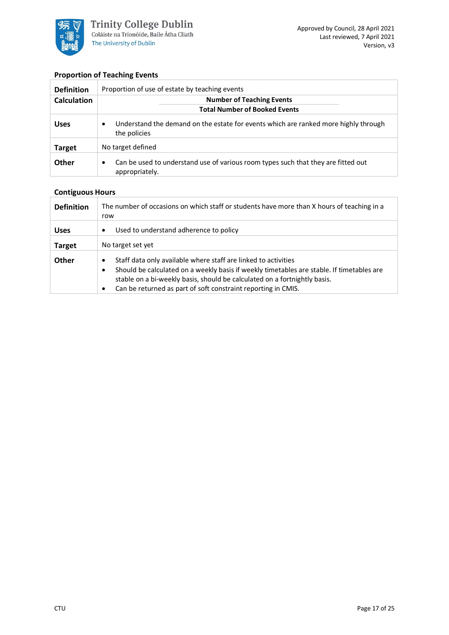

#### **Proportion of Teaching Events**

| <b>Definition</b>  | Proportion of use of estate by teaching events                                                                   |  |  |
|--------------------|------------------------------------------------------------------------------------------------------------------|--|--|
| <b>Calculation</b> | <b>Number of Teaching Events</b>                                                                                 |  |  |
|                    | <b>Total Number of Booked Events</b>                                                                             |  |  |
| <b>Uses</b>        | Understand the demand on the estate for events which are ranked more highly through<br>$\bullet$<br>the policies |  |  |
| <b>Target</b>      | No target defined                                                                                                |  |  |
| <b>Other</b>       | Can be used to understand use of various room types such that they are fitted out<br>٠<br>appropriately.         |  |  |

### **Contiguous Hours**

| <b>Definition</b> | The number of occasions on which staff or students have more than X hours of teaching in a<br>row                                                                                                                                                                                                                   |  |
|-------------------|---------------------------------------------------------------------------------------------------------------------------------------------------------------------------------------------------------------------------------------------------------------------------------------------------------------------|--|
| <b>Uses</b>       | Used to understand adherence to policy<br>٠                                                                                                                                                                                                                                                                         |  |
| <b>Target</b>     | No target set yet                                                                                                                                                                                                                                                                                                   |  |
| Other             | Staff data only available where staff are linked to activities<br>٠<br>Should be calculated on a weekly basis if weekly timetables are stable. If timetables are<br>٠<br>stable on a bi-weekly basis, should be calculated on a fortnightly basis.<br>Can be returned as part of soft constraint reporting in CMIS. |  |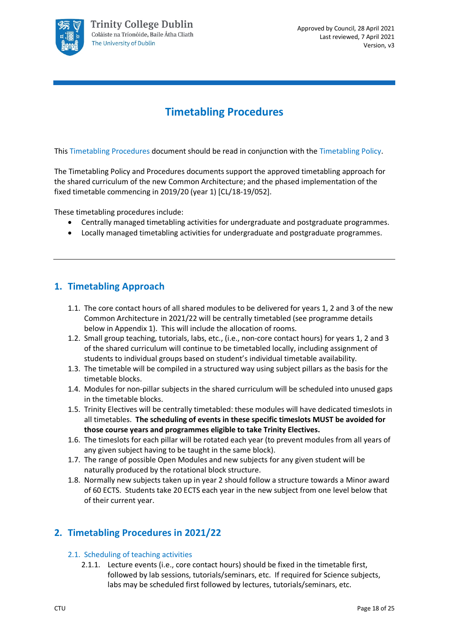

# **Timetabling Procedures**

<span id="page-17-0"></span>This Timetabling Procedures document should be read in conjunction with the Timetabling Policy.

The Timetabling Policy and Procedures documents support the approved timetabling approach for the shared curriculum of the new Common Architecture; and the phased implementation of the fixed timetable commencing in 2019/20 (year 1) [CL/18-19/052].

These timetabling procedures include:

- Centrally managed timetabling activities for undergraduate and postgraduate programmes.
- Locally managed timetabling activities for undergraduate and postgraduate programmes.

## **1. Timetabling Approach**

- 1.1. The core contact hours of all shared modules to be delivered for years 1, 2 and 3 of the new Common Architecture in 2021/22 will be centrally timetabled (see programme details below in Appendix 1). This will include the allocation of rooms.
- 1.2. Small group teaching, tutorials, labs, etc., (i.e., non-core contact hours) for years 1, 2 and 3 of the shared curriculum will continue to be timetabled locally, including assignment of students to individual groups based on student's individual timetable availability.
- 1.3. The timetable will be compiled in a structured way using subject pillars as the basis for the timetable blocks.
- 1.4. Modules for non-pillar subjects in the shared curriculum will be scheduled into unused gaps in the timetable blocks.
- 1.5. Trinity Electives will be centrally timetabled: these modules will have dedicated timeslots in all timetables. **The scheduling of events in these specific timeslots MUST be avoided for those course years and programmes eligible to take Trinity Electives.**
- 1.6. The timeslots for each pillar will be rotated each year (to prevent modules from all years of any given subject having to be taught in the same block).
- 1.7. The range of possible Open Modules and new subjects for any given student will be naturally produced by the rotational block structure.
- 1.8. Normally new subjects taken up in year 2 should follow a structure towards a Minor award of 60 ECTS. Students take 20 ECTS each year in the new subject from one level below that of their current year.

# **2. Timetabling Procedures in 2021/22**

- 2.1. Scheduling of teaching activities
	- 2.1.1. Lecture events (i.e., core contact hours) should be fixed in the timetable first, followed by lab sessions, tutorials/seminars, etc. If required for Science subjects, labs may be scheduled first followed by lectures, tutorials/seminars, etc.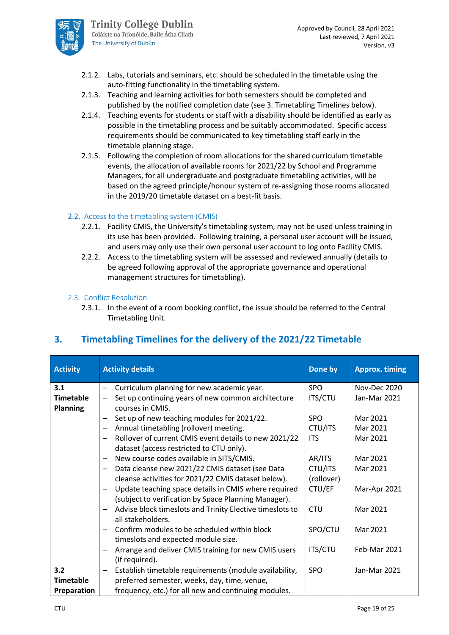

- 2.1.2. Labs, tutorials and seminars, etc. should be scheduled in the timetable using the auto-fitting functionality in the timetabling system.
- 2.1.3. Teaching and learning activities for both semesters should be completed and published by the notified completion date (see 3. Timetabling Timelines below).
- 2.1.4. Teaching events for students or staff with a disability should be identified as early as possible in the timetabling process and be suitably accommodated. Specific access requirements should be communicated to key timetabling staff early in the timetable planning stage.
- 2.1.5. Following the completion of room allocations for the shared curriculum timetable events, the allocation of available rooms for 2021/22 by School and Programme Managers, for all undergraduate and postgraduate timetabling activities, will be based on the agreed principle/honour system of re-assigning those rooms allocated in the 2019/20 timetable dataset on a best-fit basis.

#### 2.2. Access to the timetabling system (CMIS)

- 2.2.1. Facility CMIS, the University's timetabling system, may not be used unless training in its use has been provided. Following training, a personal user account will be issued, and users may only use their own personal user account to log onto Facility CMIS.
- 2.2.2. Access to the timetabling system will be assessed and reviewed annually (details to be agreed following approval of the appropriate governance and operational management structures for timetabling).

#### 2.3. Conflict Resolution

2.3.1. In the event of a room booking conflict, the issue should be referred to the Central Timetabling Unit.

| <b>Activity</b>  | <b>Activity details</b>                                                     | Done by        | <b>Approx. timing</b> |
|------------------|-----------------------------------------------------------------------------|----------------|-----------------------|
| 3.1              | Curriculum planning for new academic year.                                  | <b>SPO</b>     | Nov-Dec 2020          |
| <b>Timetable</b> | Set up continuing years of new common architecture                          | <b>ITS/CTU</b> | Jan-Mar 2021          |
| <b>Planning</b>  | courses in CMIS.                                                            |                |                       |
|                  | Set up of new teaching modules for 2021/22.                                 | <b>SPO</b>     | Mar 2021              |
|                  | Annual timetabling (rollover) meeting.                                      | CTU/ITS        | Mar 2021              |
|                  | Rollover of current CMIS event details to new 2021/22                       | <b>ITS</b>     | Mar 2021              |
|                  | dataset (access restricted to CTU only).                                    |                |                       |
|                  | New course codes available in SITS/CMIS.                                    | AR/ITS         | Mar 2021              |
|                  | Data cleanse new 2021/22 CMIS dataset (see Data<br>$\overline{\phantom{m}}$ | CTU/ITS        | Mar 2021              |
|                  | cleanse activities for 2021/22 CMIS dataset below).                         | (rollover)     |                       |
|                  | Update teaching space details in CMIS where required                        | CTU/EF         | Mar-Apr 2021          |
|                  | (subject to verification by Space Planning Manager).                        |                |                       |
|                  | Advise block timeslots and Trinity Elective timeslots to                    | <b>CTU</b>     | Mar 2021              |
|                  | all stakeholders.                                                           |                |                       |
|                  | Confirm modules to be scheduled within block                                | SPO/CTU        | Mar 2021              |
|                  | timeslots and expected module size.                                         |                |                       |
|                  | Arrange and deliver CMIS training for new CMIS users                        | <b>ITS/CTU</b> | Feb-Mar 2021          |
|                  | (if required).                                                              |                |                       |
| 3.2              | Establish timetable requirements (module availability,                      | <b>SPO</b>     | Jan-Mar 2021          |
| <b>Timetable</b> | preferred semester, weeks, day, time, venue,                                |                |                       |
| Preparation      | frequency, etc.) for all new and continuing modules.                        |                |                       |

# **3. Timetabling Timelines for the delivery of the 2021/22 Timetable**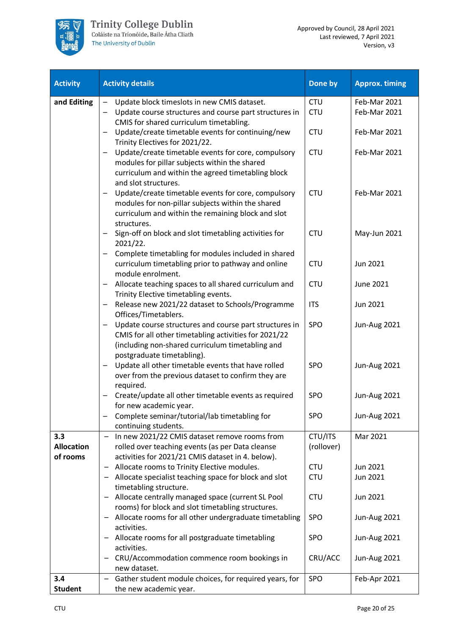

| <b>Activity</b>               | <b>Activity details</b>                                                                                   | Done by    | <b>Approx. timing</b> |
|-------------------------------|-----------------------------------------------------------------------------------------------------------|------------|-----------------------|
| and Editing                   | Update block timeslots in new CMIS dataset.<br>$\overline{\phantom{0}}$                                   | <b>CTU</b> | Feb-Mar 2021          |
|                               | Update course structures and course part structures in                                                    | <b>CTU</b> | Feb-Mar 2021          |
|                               | CMIS for shared curriculum timetabling.                                                                   |            |                       |
|                               | Update/create timetable events for continuing/new<br>—                                                    | <b>CTU</b> | Feb-Mar 2021          |
|                               | Trinity Electives for 2021/22.                                                                            |            |                       |
|                               | Update/create timetable events for core, compulsory                                                       | <b>CTU</b> | Feb-Mar 2021          |
|                               | modules for pillar subjects within the shared                                                             |            |                       |
|                               | curriculum and within the agreed timetabling block                                                        |            |                       |
|                               | and slot structures.                                                                                      |            |                       |
|                               | Update/create timetable events for core, compulsory                                                       | <b>CTU</b> | Feb-Mar 2021          |
|                               | modules for non-pillar subjects within the shared<br>curriculum and within the remaining block and slot   |            |                       |
|                               | structures.                                                                                               |            |                       |
|                               | Sign-off on block and slot timetabling activities for                                                     | <b>CTU</b> | May-Jun 2021          |
|                               | 2021/22.                                                                                                  |            |                       |
|                               | Complete timetabling for modules included in shared                                                       |            |                       |
|                               | curriculum timetabling prior to pathway and online                                                        | <b>CTU</b> | Jun 2021              |
|                               | module enrolment.                                                                                         |            |                       |
|                               | Allocate teaching spaces to all shared curriculum and                                                     | <b>CTU</b> | June 2021             |
|                               | Trinity Elective timetabling events.                                                                      |            |                       |
|                               | Release new 2021/22 dataset to Schools/Programme<br>-                                                     | <b>ITS</b> | Jun 2021              |
|                               | Offices/Timetablers.                                                                                      |            |                       |
|                               | Update course structures and course part structures in                                                    | <b>SPO</b> | <b>Jun-Aug 2021</b>   |
|                               | CMIS for all other timetabling activities for 2021/22<br>(including non-shared curriculum timetabling and |            |                       |
|                               | postgraduate timetabling).                                                                                |            |                       |
|                               | Update all other timetable events that have rolled                                                        | SPO        | <b>Jun-Aug 2021</b>   |
|                               | over from the previous dataset to confirm they are                                                        |            |                       |
|                               | required.                                                                                                 |            |                       |
|                               | Create/update all other timetable events as required                                                      | <b>SPO</b> | <b>Jun-Aug 2021</b>   |
|                               | for new academic year.                                                                                    |            |                       |
|                               | Complete seminar/tutorial/lab timetabling for                                                             | <b>SPO</b> | Jun-Aug 2021          |
|                               | continuing students.                                                                                      |            |                       |
| 3.3                           | In new 2021/22 CMIS dataset remove rooms from                                                             | CTU/ITS    | Mar 2021              |
| <b>Allocation</b><br>of rooms | rolled over teaching events (as per Data cleanse<br>activities for 2021/21 CMIS dataset in 4. below).     | (rollover) |                       |
|                               | Allocate rooms to Trinity Elective modules.<br>—                                                          | <b>CTU</b> | Jun 2021              |
|                               | Allocate specialist teaching space for block and slot                                                     | <b>CTU</b> | Jun 2021              |
|                               | timetabling structure.                                                                                    |            |                       |
|                               | Allocate centrally managed space (current SL Pool<br>-                                                    | <b>CTU</b> | Jun 2021              |
|                               | rooms) for block and slot timetabling structures.                                                         |            |                       |
|                               | Allocate rooms for all other undergraduate timetabling<br>-                                               | <b>SPO</b> | Jun-Aug 2021          |
|                               | activities.                                                                                               |            |                       |
|                               | Allocate rooms for all postgraduate timetabling<br>-                                                      | SPO        | <b>Jun-Aug 2021</b>   |
|                               | activities.                                                                                               |            |                       |
|                               | CRU/Accommodation commence room bookings in                                                               | CRU/ACC    | Jun-Aug 2021          |
| 3.4                           | new dataset.<br>Gather student module choices, for required years, for                                    | SPO        | Feb-Apr 2021          |
| <b>Student</b>                | the new academic year.                                                                                    |            |                       |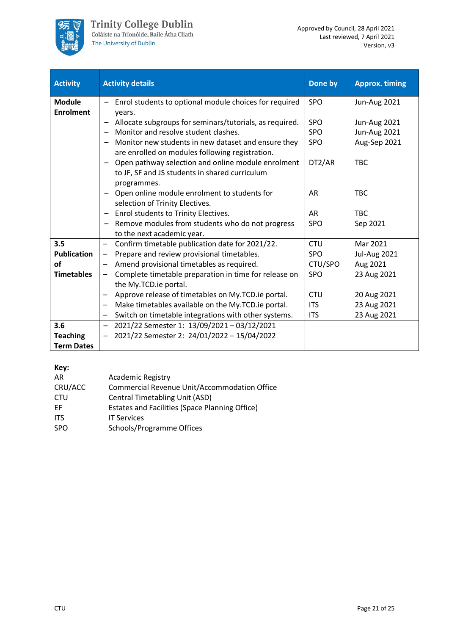

| <b>Activity</b>    | <b>Activity details</b>                                                            | Done by    | <b>Approx. timing</b> |
|--------------------|------------------------------------------------------------------------------------|------------|-----------------------|
| <b>Module</b>      | Enrol students to optional module choices for required                             | <b>SPO</b> | <b>Jun-Aug 2021</b>   |
| <b>Enrolment</b>   | vears.                                                                             |            |                       |
|                    | Allocate subgroups for seminars/tutorials, as required.                            | <b>SPO</b> | <b>Jun-Aug 2021</b>   |
|                    | Monitor and resolve student clashes.<br>$\qquad \qquad$                            | <b>SPO</b> | <b>Jun-Aug 2021</b>   |
|                    | Monitor new students in new dataset and ensure they                                | <b>SPO</b> | Aug-Sep 2021          |
|                    | are enrolled on modules following registration.                                    |            |                       |
|                    | Open pathway selection and online module enrolment<br>$\qquad \qquad \blacksquare$ | DT2/AR     | <b>TBC</b>            |
|                    | to JF, SF and JS students in shared curriculum                                     |            |                       |
|                    | programmes.                                                                        |            |                       |
|                    | - Open online module enrolment to students for                                     | AR         | <b>TBC</b>            |
|                    | selection of Trinity Electives.                                                    |            |                       |
|                    | Enrol students to Trinity Electives.                                               | <b>AR</b>  | <b>TBC</b>            |
|                    | Remove modules from students who do not progress                                   | <b>SPO</b> | Sep 2021              |
|                    | to the next academic year.                                                         |            |                       |
| 3.5                | Confirm timetable publication date for 2021/22.<br>$\overline{\phantom{0}}$        | <b>CTU</b> | Mar 2021              |
| <b>Publication</b> | Prepare and review provisional timetables.                                         | <b>SPO</b> | <b>Jul-Aug 2021</b>   |
| of                 | Amend provisional timetables as required.                                          | CTU/SPO    | Aug 2021              |
| <b>Timetables</b>  | Complete timetable preparation in time for release on<br>$\overline{\phantom{0}}$  | <b>SPO</b> | 23 Aug 2021           |
|                    | the My.TCD.ie portal.                                                              |            |                       |
|                    | Approve release of timetables on My.TCD.ie portal.                                 | <b>CTU</b> | 20 Aug 2021           |
|                    | Make timetables available on the My.TCD.ie portal.<br>-                            | <b>ITS</b> | 23 Aug 2021           |
|                    | Switch on timetable integrations with other systems.<br>-                          | <b>ITS</b> | 23 Aug 2021           |
| 3.6                | 2021/22 Semester 1: 13/09/2021-03/12/2021<br>$\qquad \qquad -$                     |            |                       |
| <b>Teaching</b>    | 2021/22 Semester 2: 24/01/2022 - 15/04/2022<br>$\overline{\phantom{m}}$            |            |                       |
| <b>Term Dates</b>  |                                                                                    |            |                       |

#### **Key:**

| AR         | <b>Academic Registry</b>                              |
|------------|-------------------------------------------------------|
| CRU/ACC    | Commercial Revenue Unit/Accommodation Office          |
| <b>CTU</b> | Central Timetabling Unit (ASD)                        |
| EF.        | <b>Estates and Facilities (Space Planning Office)</b> |
| <b>ITS</b> | <b>IT Services</b>                                    |
| <b>SPO</b> | Schools/Programme Offices                             |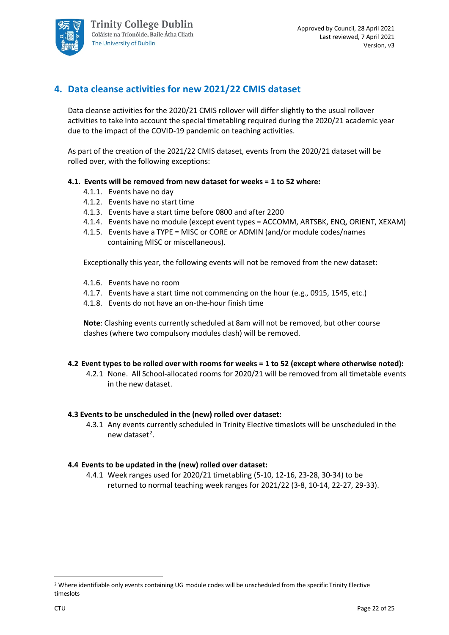

# **4. Data cleanse activities for new 2021/22 CMIS dataset**

Data cleanse activities for the 2020/21 CMIS rollover will differ slightly to the usual rollover activities to take into account the special timetabling required during the 2020/21 academic year due to the impact of the COVID-19 pandemic on teaching activities.

As part of the creation of the 2021/22 CMIS dataset, events from the 2020/21 dataset will be rolled over, with the following exceptions:

#### **4.1. Events will be removed from new dataset for weeks = 1 to 52 where:**

- 4.1.1. Events have no day
- 4.1.2. Events have no start time
- 4.1.3. Events have a start time before 0800 and after 2200
- 4.1.4. Events have no module (except event types = ACCOMM, ARTSBK, ENQ, ORIENT, XEXAM)
- 4.1.5. Events have a TYPE = MISC or CORE or ADMIN (and/or module codes/names containing MISC or miscellaneous).

Exceptionally this year, the following events will not be removed from the new dataset:

- 4.1.6. Events have no room
- 4.1.7. Events have a start time not commencing on the hour (e.g., 0915, 1545, etc.)
- 4.1.8. Events do not have an on-the-hour finish time

**Note**: Clashing events currently scheduled at 8am will not be removed, but other course clashes (where two compulsory modules clash) will be removed.

#### **4.2 Event types to be rolled over with rooms for weeks = 1 to 52 (except where otherwise noted):**

4.2.1 None. All School-allocated rooms for 2020/21 will be removed from all timetable events in the new dataset.

#### **4.3 Events to be unscheduled in the (new) rolled over dataset:**

4.3.1 Any events currently scheduled in Trinity Elective timeslots will be unscheduled in the new dataset<sup>[2](#page-21-0)</sup>.

#### **4.4 Events to be updated in the (new) rolled over dataset:**

4.4.1 Week ranges used for 2020/21 timetabling (5-10, 12-16, 23-28, 30-34) to be returned to normal teaching week ranges for 2021/22 (3-8, 10-14, 22-27, 29-33).

<span id="page-21-0"></span><sup>&</sup>lt;sup>2</sup> Where identifiable only events containing UG module codes will be unscheduled from the specific Trinity Elective timeslots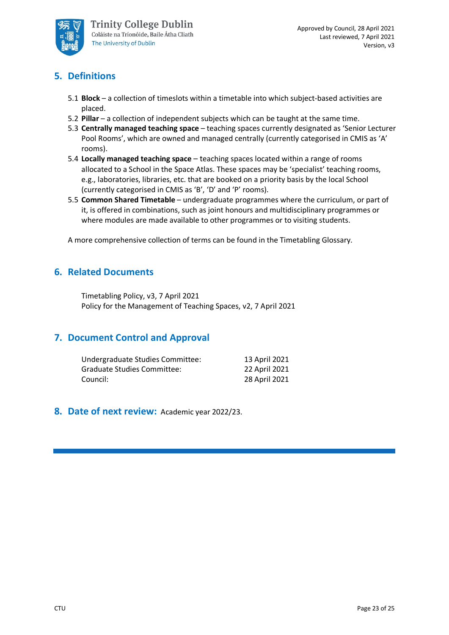

# **5. Definitions**

- 5.1 **Block**  a collection of timeslots within a timetable into which subject-based activities are placed.
- 5.2 **Pillar** a collection of independent subjects which can be taught at the same time.
- 5.3 **Centrally managed teaching space**  teaching spaces currently designated as 'Senior Lecturer Pool Rooms', which are owned and managed centrally (currently categorised in CMIS as 'A' rooms).
- 5.4 **Locally managed teaching space**  teaching spaces located within a range of rooms allocated to a School in the Space Atlas. These spaces may be 'specialist' teaching rooms, e.g., laboratories, libraries, etc. that are booked on a priority basis by the local School (currently categorised in CMIS as 'B', 'D' and 'P' rooms).
- 5.5 **Common Shared Timetable**  undergraduate programmes where the curriculum, or part of it, is offered in combinations, such as joint honours and multidisciplinary programmes or where modules are made available to other programmes or to visiting students.

A more comprehensive collection of terms can be found in the Timetabling Glossary.

# **6. Related Documents**

Timetabling Policy, v3, 7 April 2021 Policy for the Management of Teaching Spaces, v2, 7 April 2021

## **7. Document Control and Approval**

| Undergraduate Studies Committee: | 13 April 2021 |
|----------------------------------|---------------|
| Graduate Studies Committee:      | 22 April 2021 |
| Council:                         | 28 April 2021 |

#### **8. Date of next review:** Academic year 2022/23.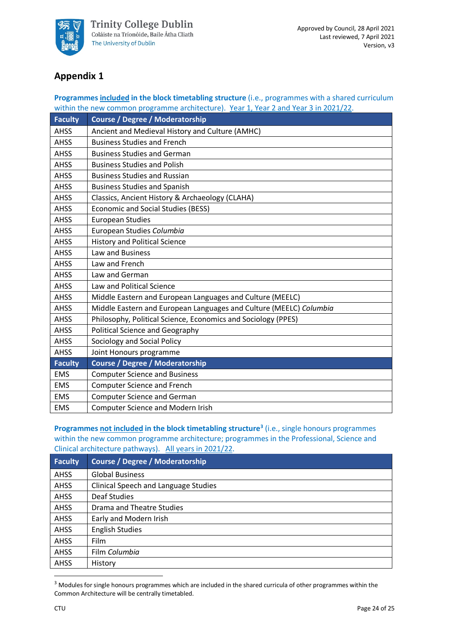

# **Appendix 1**

#### **Programmes included in the block timetabling structure** (i.e., programmes with a shared curriculum within the new common programme architecture). Year 1, Year 2 and Year 3 in 2021/22.

| <b>Faculty</b> | <b>Course / Degree / Moderatorship</b>                             |
|----------------|--------------------------------------------------------------------|
| <b>AHSS</b>    | Ancient and Medieval History and Culture (AMHC)                    |
| <b>AHSS</b>    | <b>Business Studies and French</b>                                 |
| <b>AHSS</b>    | <b>Business Studies and German</b>                                 |
| <b>AHSS</b>    | <b>Business Studies and Polish</b>                                 |
| <b>AHSS</b>    | <b>Business Studies and Russian</b>                                |
| <b>AHSS</b>    | <b>Business Studies and Spanish</b>                                |
| <b>AHSS</b>    | Classics, Ancient History & Archaeology (CLAHA)                    |
| <b>AHSS</b>    | <b>Economic and Social Studies (BESS)</b>                          |
| <b>AHSS</b>    | <b>European Studies</b>                                            |
| <b>AHSS</b>    | European Studies Columbia                                          |
| <b>AHSS</b>    | <b>History and Political Science</b>                               |
| <b>AHSS</b>    | Law and Business                                                   |
| <b>AHSS</b>    | Law and French                                                     |
| <b>AHSS</b>    | Law and German                                                     |
| <b>AHSS</b>    | <b>Law and Political Science</b>                                   |
| <b>AHSS</b>    | Middle Eastern and European Languages and Culture (MEELC)          |
| <b>AHSS</b>    | Middle Eastern and European Languages and Culture (MEELC) Columbia |
| <b>AHSS</b>    | Philosophy, Political Science, Economics and Sociology (PPES)      |
| <b>AHSS</b>    | <b>Political Science and Geography</b>                             |
| <b>AHSS</b>    | Sociology and Social Policy                                        |
| <b>AHSS</b>    | Joint Honours programme                                            |
| <b>Faculty</b> | <b>Course / Degree / Moderatorship</b>                             |
| <b>EMS</b>     | <b>Computer Science and Business</b>                               |
| <b>EMS</b>     | <b>Computer Science and French</b>                                 |
| <b>EMS</b>     | <b>Computer Science and German</b>                                 |
| <b>EMS</b>     | <b>Computer Science and Modern Irish</b>                           |

**Programmes not included in the block timetabling structure[3](#page-23-0)** (i.e., single honours programmes within the new common programme architecture; programmes in the Professional, Science and Clinical architecture pathways). All years in 2021/22.

| <b>Faculty</b> | <b>Course / Degree / Moderatorship</b>      |
|----------------|---------------------------------------------|
| <b>AHSS</b>    | <b>Global Business</b>                      |
| <b>AHSS</b>    | <b>Clinical Speech and Language Studies</b> |
| <b>AHSS</b>    | <b>Deaf Studies</b>                         |
| <b>AHSS</b>    | Drama and Theatre Studies                   |
| <b>AHSS</b>    | Early and Modern Irish                      |
| <b>AHSS</b>    | <b>English Studies</b>                      |
| <b>AHSS</b>    | Film                                        |
| <b>AHSS</b>    | Film Columbia                               |
| <b>AHSS</b>    | History                                     |

<span id="page-23-0"></span><sup>&</sup>lt;sup>3</sup> Modules for single honours programmes which are included in the shared curricula of other programmes within the Common Architecture will be centrally timetabled.